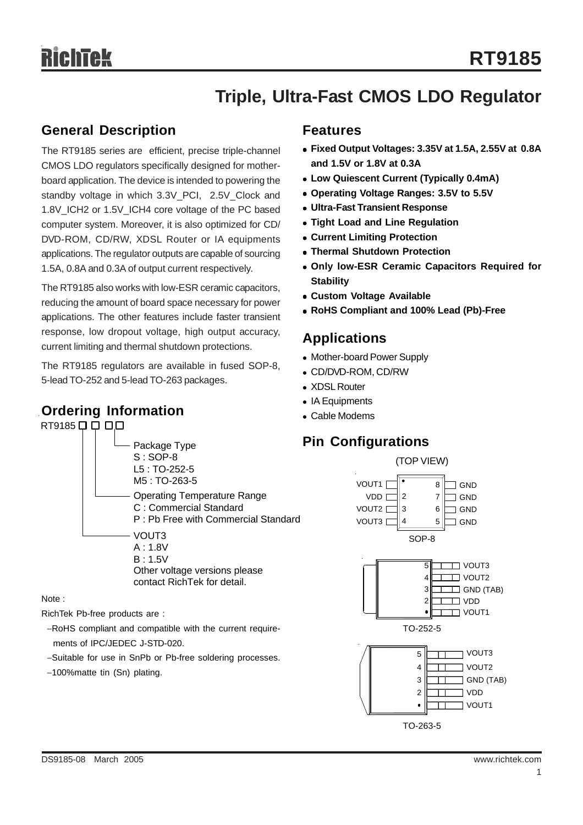# **Triple, Ultra-Fast CMOS LDO Regulator**

### **General Description**

The RT9185 series are efficient, precise triple-channel CMOS LDO regulators specifically designed for motherboard application. The device is intended to powering the standby voltage in which 3.3V PCI, 2.5V Clock and 1.8V\_ICH2 or 1.5V\_ICH4 core voltage of the PC based computer system. Moreover, it is also optimized for CD/ DVD-ROM, CD/RW, XDSL Router or IA equipments applications. The regulator outputs are capable of sourcing 1.5A, 0.8A and 0.3A of output current respectively.

The RT9185 also works with low-ESR ceramic capacitors, reducing the amount of board space necessary for power applications. The other features include faster transient response, low dropout voltage, high output accuracy, current limiting and thermal shutdown protections.

The RT9185 regulators are available in fused SOP-8, 5-lead TO-252 and 5-lead TO-263 packages.

## **Ordering Information**

#### RT9185 0 0 0 0

#### Package Type S : SOP-8 L5 : TO-252-5 M5 : TO-263-5 Operating Temperature Range C : Commercial Standard P : Pb Free with Commercial Standard VOUT3 A : 1.8V B : 1.5V Other voltage versions please contact RichTek for detail.

Note :

RichTek Pb-free products are :

−RoHS compliant and compatible with the current require ments of IPC/JEDEC J-STD-020.

- −Suitable for use in SnPb or Pb-free soldering processes.
- −100%matte tin (Sn) plating.

#### **Features**

- <sup>z</sup> **Fixed Output Voltages: 3.35V at 1.5A, 2.55V at 0.8A and 1.5V or 1.8V at 0.3A**
- <sup>z</sup> **Low Quiescent Current (Typically 0.4mA)**
- <sup>z</sup> **Operating Voltage Ranges: 3.5V to 5.5V**
- **Ultra-Fast Transient Response**
- **Tight Load and Line Regulation**
- **Current Limiting Protection**
- **Thermal Shutdown Protection**
- **Only low-ESR Ceramic Capacitors Required for Stability**
- **Custom Voltage Available**
- <sup>z</sup> **RoHS Compliant and 100% Lead (Pb)-Free**

### **Applications**

- Mother-board Power Supply
- CD/DVD-ROM, CD/RW
- XDSL Router
- IA Equipments
- Cable Modems

## **Pin Configurations**

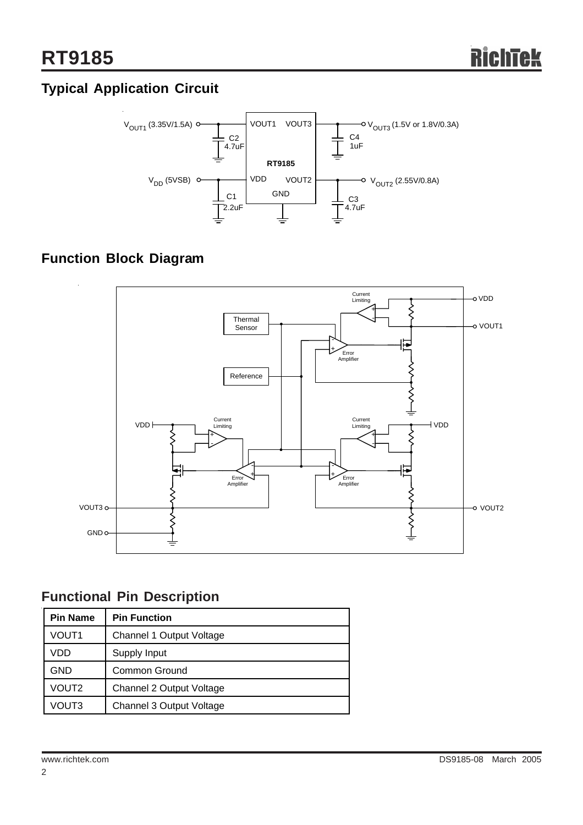## **Typical Application Circuit**



## **Function Block Diagram**



## **Functional Pin Description**

| <b>Pin Name</b> | <b>Pin Function</b>      |  |  |  |
|-----------------|--------------------------|--|--|--|
| VOUT1           | Channel 1 Output Voltage |  |  |  |
| VDD             | Supply Input             |  |  |  |
| <b>GND</b>      | Common Ground            |  |  |  |
| VOUT2           | Channel 2 Output Voltage |  |  |  |
| VOUT3           | Channel 3 Output Voltage |  |  |  |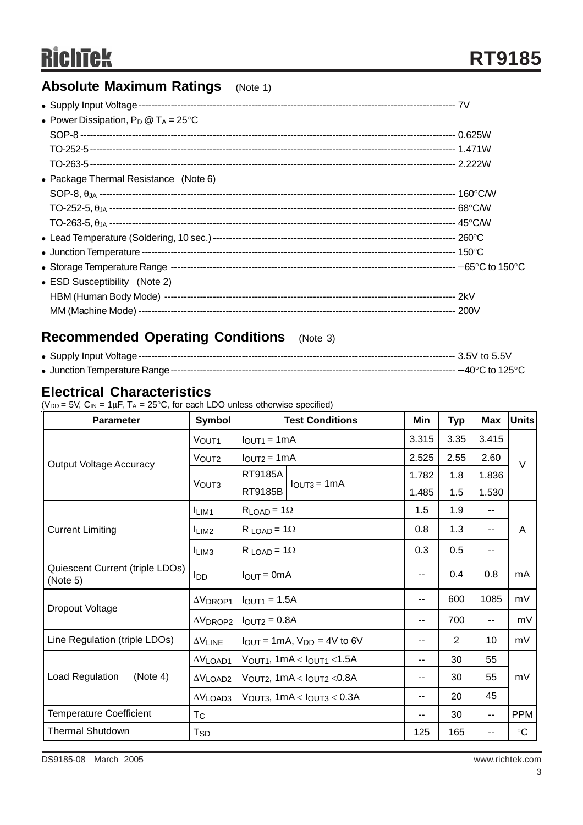# **RichTek**

## **Absolute Maximum Ratings** (Note 1)

| • Power Dissipation, $P_D @ T_A = 25^{\circ}C$ |  |
|------------------------------------------------|--|
|                                                |  |
|                                                |  |
|                                                |  |
| • Package Thermal Resistance (Note 6)          |  |
|                                                |  |
|                                                |  |
|                                                |  |
|                                                |  |
|                                                |  |
|                                                |  |
| • ESD Susceptibility (Note 2)                  |  |
|                                                |  |
|                                                |  |

## **Recommended Operating Conditions** (Note 3)

## **Electrical Characteristics**

 $(V_{DD} = 5V$ , C<sub>IN</sub> = 1 $\mu$ F, T<sub>A</sub> = 25°C, for each LDO unless otherwise specified)

| <b>Parameter</b>                            | Symbol                     | <b>Test Conditions</b>         |                                                    | Min                      | Typ  | <b>Max</b> | <b>Units</b> |  |
|---------------------------------------------|----------------------------|--------------------------------|----------------------------------------------------|--------------------------|------|------------|--------------|--|
|                                             | VOUT <sub>1</sub>          | $IOUT1 = 1mA$                  |                                                    | 3.315                    | 3.35 | 3.415      |              |  |
| <b>Output Voltage Accuracy</b>              | VOUT <sub>2</sub>          | $IOUT2 = 1mA$                  |                                                    | 2.525                    | 2.55 | 2.60       | $\vee$       |  |
|                                             |                            | RT9185A                        | $IOUT3 = 1mA$                                      | 1.782                    | 1.8  | 1.836      |              |  |
|                                             | VOUT3                      | RT9185B                        |                                                    | 1.485                    | 1.5  | 1.530      |              |  |
|                                             | LIM <sub>1</sub>           | $R_{LOAD} = 1\Omega$           |                                                    | 1.5                      | 1.9  | $- -$      |              |  |
| <b>Current Limiting</b>                     | LIM <sub>2</sub>           | $R$ LOAD = $1\Omega$           |                                                    | 0.8                      | 1.3  | $-$        | A            |  |
|                                             | I <sub>LI</sub> M3         | $R_{LOAD} = 1\Omega$           |                                                    | 0.3                      | 0.5  | --         |              |  |
| Quiescent Current (triple LDOs)<br>(Note 5) | <b>I</b> DD                | $I_{\text{OUT}} = 0 \text{mA}$ |                                                    | --                       | 0.4  | 0.8        | mA           |  |
| Dropout Voltage                             | $\Delta V$ DROP1           | $I_{\text{OUT1}} = 1.5A$       |                                                    | --                       | 600  | 1085       | mV           |  |
|                                             | $\Delta V$ DROP2           | $IOUT2 = 0.8A$                 |                                                    |                          | 700  | --         | mV           |  |
| Line Regulation (triple LDOs)               | $\Delta V$ LINE            |                                | $I_{OUT} = 1mA$ , $V_{DD} = 4V$ to 6V              | --                       | 2    | 10         | mV           |  |
|                                             | $\Delta V$ LOAD1           |                                | $V_{\text{OUT1}}$ , 1mA < $I_{\text{OUT1}}$ < 1.5A | $\overline{\phantom{a}}$ | 30   | 55         |              |  |
| Load Regulation<br>(Note 4)                 | $\Delta V$ LOAD2           |                                | $V_{\text{OUT2}}$ , 1mA < $I_{\text{OUT2}}$ < 0.8A | --                       | 30   | 55         | mV           |  |
|                                             | $\Delta V$ LOAD3           |                                | $VOUT3$ , 1mA < $IOUT3$ < 0.3A                     | --                       | 20   | 45         |              |  |
| <b>Temperature Coefficient</b>              | Тc                         |                                |                                                    | --                       | 30   | $- -$      | <b>PPM</b>   |  |
| <b>Thermal Shutdown</b>                     | $\mathsf{T}_{\mathsf{SD}}$ |                                |                                                    | 125                      | 165  | --         | $\circ$ C    |  |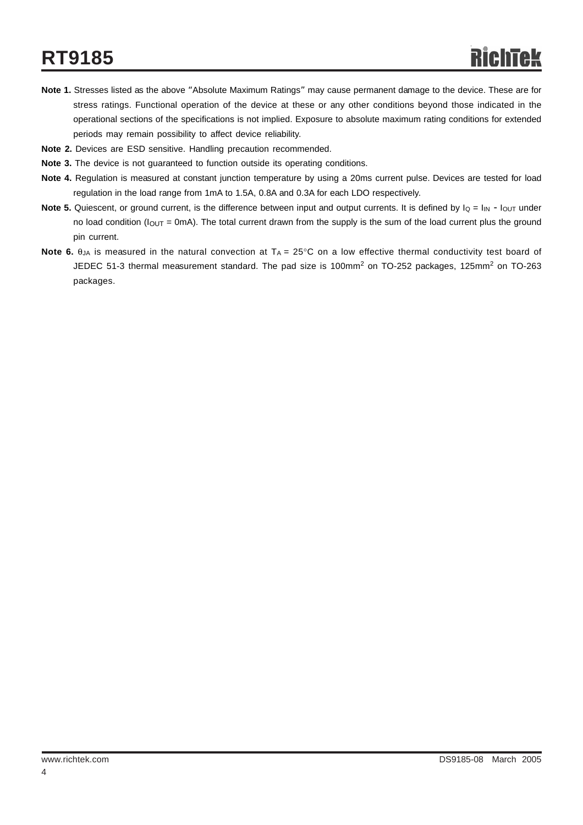# **RT9185**

- **Note 1.** Stresses listed as the above "Absolute Maximum Ratings" may cause permanent damage to the device. These are for stress ratings. Functional operation of the device at these or any other conditions beyond those indicated in the operational sections of the specifications is not implied. Exposure to absolute maximum rating conditions for extended periods may remain possibility to affect device reliability.
- **Note 2.** Devices are ESD sensitive. Handling precaution recommended.
- **Note 3.** The device is not guaranteed to function outside its operating conditions.
- **Note 4.** Regulation is measured at constant junction temperature by using a 20ms current pulse. Devices are tested for load regulation in the load range from 1mA to 1.5A, 0.8A and 0.3A for each LDO respectively.
- **Note 5.** Quiescent, or ground current, is the difference between input and output currents. It is defined by  $I_Q = I_{IN} I_{OUT}$  under no load condition ( $I_{OUT}$  = 0mA). The total current drawn from the supply is the sum of the load current plus the ground pin current.
- **Note 6.** θ<sub>JA</sub> is measured in the natural convection at T<sub>A</sub> = 25°C on a low effective thermal conductivity test board of JEDEC 51-3 thermal measurement standard. The pad size is 100mm<sup>2</sup> on TO-252 packages, 125mm<sup>2</sup> on TO-263 packages.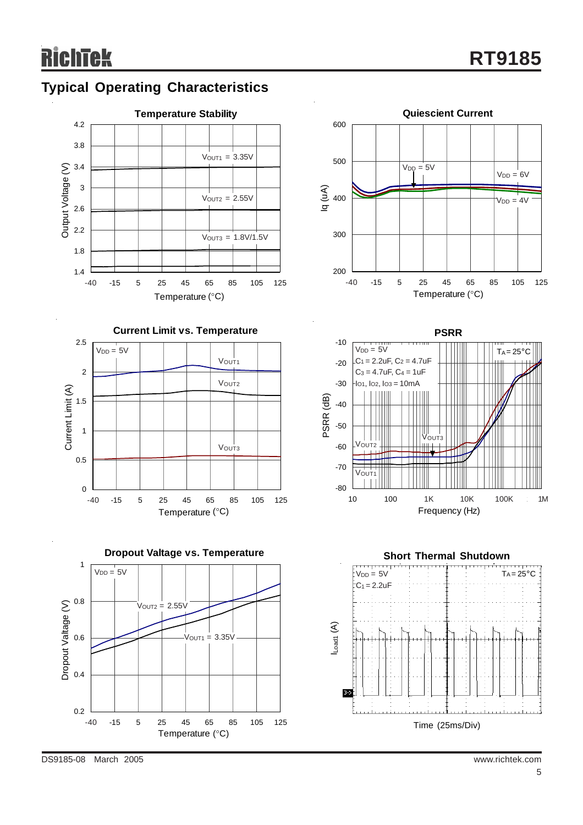

## **Typical Operating Characteristics**



**Dropout Valtage vs. Temperature**









DS9185-08 March 2005 www.richtek.com

1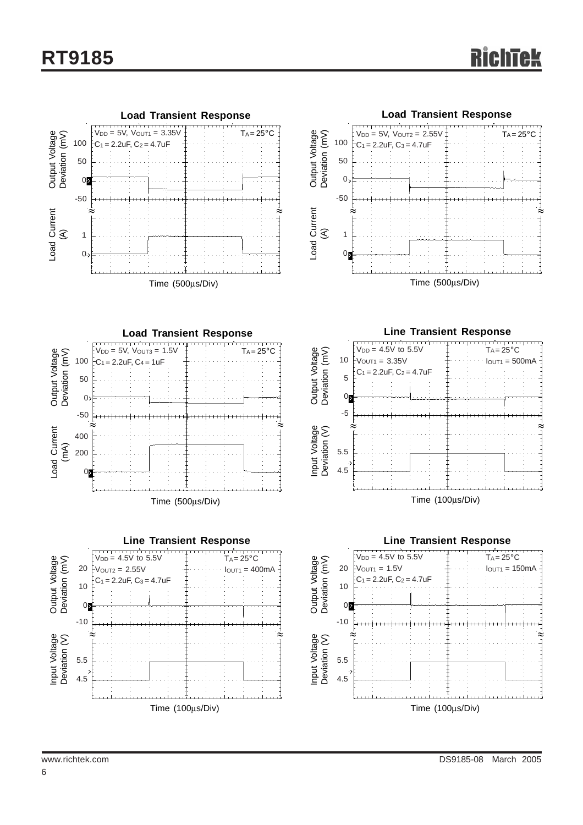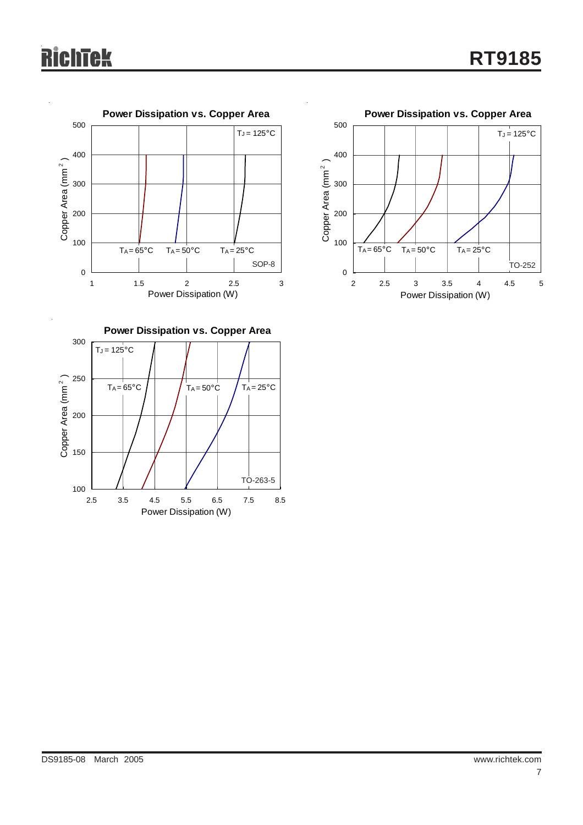



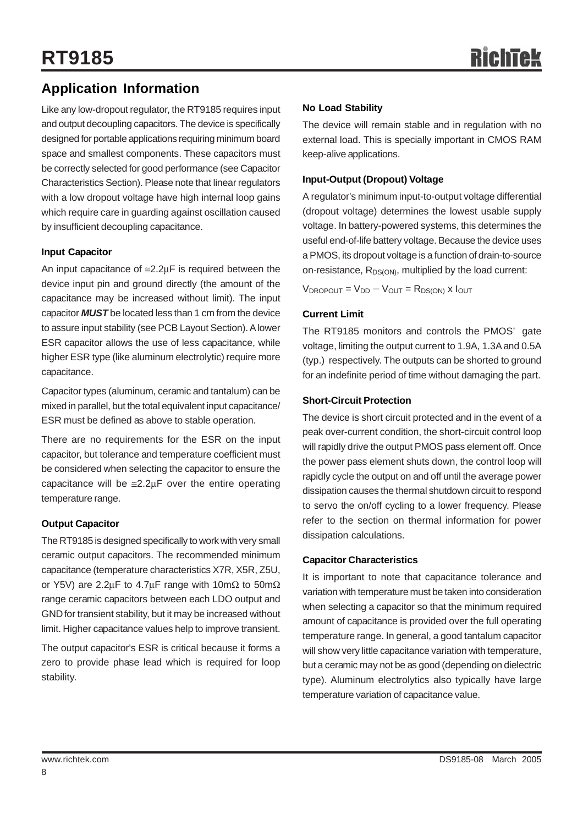## **Application Information**

Like any low-dropout regulator, the RT9185 requires input and output decoupling capacitors. The device is specifically designed for portable applications requiring minimum board space and smallest components. These capacitors must be correctly selected for good performance (see Capacitor Characteristics Section). Please note that linear regulators with a low dropout voltage have high internal loop gains which require care in guarding against oscillation caused by insufficient decoupling capacitance.

#### **Input Capacitor**

An input capacitance of  $\leq$ 2.2 $\mu$ F is required between the device input pin and ground directly (the amount of the capacitance may be increased without limit). The input capacitor *MUST* be located less than 1 cm from the device to assure input stability (see PCB Layout Section). A lower ESR capacitor allows the use of less capacitance, while higher ESR type (like aluminum electrolytic) require more capacitance.

Capacitor types (aluminum, ceramic and tantalum) can be mixed in parallel, but the total equivalent input capacitance/ ESR must be defined as above to stable operation.

There are no requirements for the ESR on the input capacitor, but tolerance and temperature coefficient must be considered when selecting the capacitor to ensure the capacitance will be  $\leq 2.2\mu$ F over the entire operating temperature range.

#### **Output Capacitor**

The RT9185 is designed specifically to work with very small ceramic output capacitors. The recommended minimum capacitance (temperature characteristics X7R, X5R, Z5U, or Y5V) are 2.2μF to 4.7μF range with 10m $\Omega$  to 50m $\Omega$ range ceramic capacitors between each LDO output and GND for transient stability, but it may be increased without limit. Higher capacitance values help to improve transient.

The output capacitor's ESR is critical because it forms a zero to provide phase lead which is required for loop stability.

#### **No Load Stability**

The device will remain stable and in regulation with no external load. This is specially important in CMOS RAM keep-alive applications.

#### **Input-Output (Dropout) Voltage**

A regulator's minimum input-to-output voltage differential (dropout voltage) determines the lowest usable supply voltage. In battery-powered systems, this determines the useful end-of-life battery voltage. Because the device uses a PMOS, its dropout voltage is a function of drain-to-source on-resistance, R<sub>DS(ON)</sub>, multiplied by the load current:

 $V_{\text{DROPOUT}} = V_{\text{DD}} - V_{\text{OUT}} = R_{\text{DS(ON)}}$  x  $I_{\text{OUT}}$ 

#### **Current Limit**

The RT9185 monitors and controls the PMOS' gate voltage, limiting the output current to 1.9A, 1.3A and 0.5A (typ.) respectively. The outputs can be shorted to ground for an indefinite period of time without damaging the part.

#### **Short-Circuit Protection**

The device is short circuit protected and in the event of a peak over-current condition, the short-circuit control loop will rapidly drive the output PMOS pass element off. Once the power pass element shuts down, the control loop will rapidly cycle the output on and off until the average power dissipation causes the thermal shutdown circuit to respond to servo the on/off cycling to a lower frequency. Please refer to the section on thermal information for power dissipation calculations.

#### **Capacitor Characteristics**

It is important to note that capacitance tolerance and variation with temperature must be taken into consideration when selecting a capacitor so that the minimum required amount of capacitance is provided over the full operating temperature range. In general, a good tantalum capacitor will show very little capacitance variation with temperature, but a ceramic may not be as good (depending on dielectric type). Aluminum electrolytics also typically have large temperature variation of capacitance value.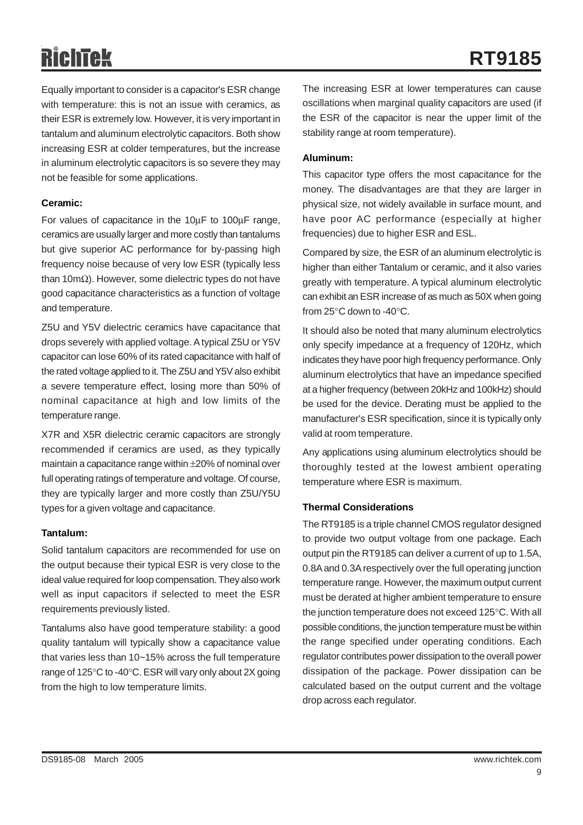# RichTek

Equally important to consider is a capacitor's ESR change with temperature: this is not an issue with ceramics, as their ESR is extremely low. However, it is very important in tantalum and aluminum electrolytic capacitors. Both show increasing ESR at colder temperatures, but the increase in aluminum electrolytic capacitors is so severe they may not be feasible for some applications.

#### **Ceramic:**

For values of capacitance in the 10μF to 100μF range, ceramics are usually larger and more costly than tantalums but give superior AC performance for by-passing high frequency noise because of very low ESR (typically less than 10mΩ). However, some dielectric types do not have good capacitance characteristics as a function of voltage and temperature.

Z5U and Y5V dielectric ceramics have capacitance that drops severely with applied voltage. A typical Z5U or Y5V capacitor can lose 60% of its rated capacitance with half of the rated voltage applied to it. The Z5U and Y5V also exhibit a severe temperature effect, losing more than 50% of nominal capacitance at high and low limits of the temperature range.

X7R and X5R dielectric ceramic capacitors are strongly recommended if ceramics are used, as they typically maintain a capacitance range within ±20% of nominal over full operating ratings of temperature and voltage. Of course, they are typically larger and more costly than Z5U/Y5U types for a given voltage and capacitance.

#### **Tantalum:**

Solid tantalum capacitors are recommended for use on the output because their typical ESR is very close to the ideal value required for loop compensation. They also work well as input capacitors if selected to meet the ESR requirements previously listed.

Tantalums also have good temperature stability: a good quality tantalum will typically show a capacitance value that varies less than 10~15% across the full temperature range of 125°C to -40°C. ESR will vary only about 2X going from the high to low temperature limits.

The increasing ESR at lower temperatures can cause oscillations when marginal quality capacitors are used (if the ESR of the capacitor is near the upper limit of the stability range at room temperature).

#### **Aluminum:**

This capacitor type offers the most capacitance for the money. The disadvantages are that they are larger in physical size, not widely available in surface mount, and have poor AC performance (especially at higher frequencies) due to higher ESR and ESL.

Compared by size, the ESR of an aluminum electrolytic is higher than either Tantalum or ceramic, and it also varies greatly with temperature. A typical aluminum electrolytic can exhibit an ESR increase of as much as 50X when going from 25°C down to -40°C.

It should also be noted that many aluminum electrolytics only specify impedance at a frequency of 120Hz, which indicates they have poor high frequency performance. Only aluminum electrolytics that have an impedance specified at a higher frequency (between 20kHz and 100kHz) should be used for the device. Derating must be applied to the manufacturer's ESR specification, since it is typically only valid at room temperature.

Any applications using aluminum electrolytics should be thoroughly tested at the lowest ambient operating temperature where ESR is maximum.

#### **Thermal Considerations**

The RT9185 is a triple channel CMOS regulator designed to provide two output voltage from one package. Each output pin the RT9185 can deliver a current of up to 1.5A, 0.8A and 0.3A respectively over the full operating junction temperature range. However, the maximum output current must be derated at higher ambient temperature to ensure the junction temperature does not exceed 125°C. With all possible conditions, the junction temperature must be within the range specified under operating conditions. Each regulator contributes power dissipation to the overall power dissipation of the package. Power dissipation can be calculated based on the output current and the voltage drop across each regulator.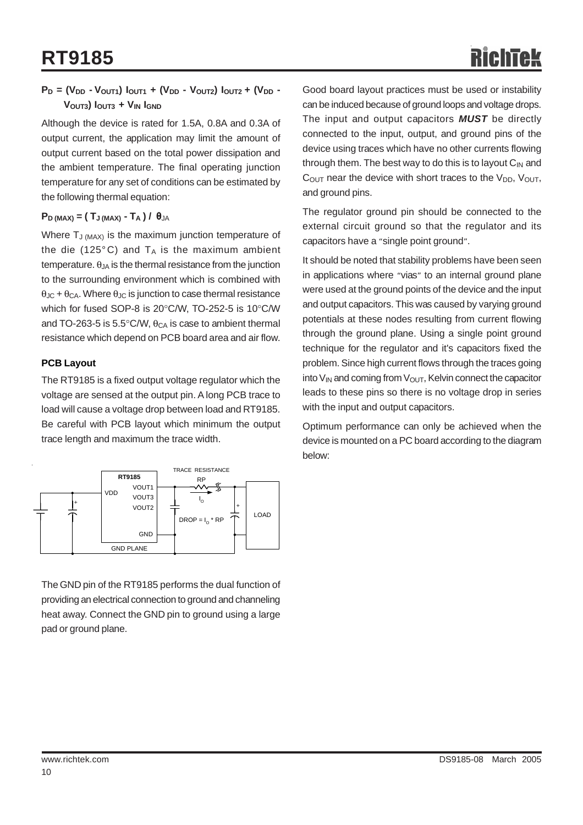#### **P<sub>D</sub>** = (V<sub>DD</sub> - V<sub>OUT1</sub>)  $I_{\text{OUT1}} + (V_{\text{DD}} - V_{\text{OUT2}}) I_{\text{OUT2}} + (V_{\text{DD}} - V_{\text{OUT2}}) I_{\text{OUT3}}$ **VOUT3) IOUT3 + VIN IGND**

Although the device is rated for 1.5A, 0.8A and 0.3A of output current, the application may limit the amount of output current based on the total power dissipation and the ambient temperature. The final operating junction temperature for any set of conditions can be estimated by the following thermal equation:

#### $P_D$  (MAX) =  $(T_J$  (MAX)  $-T_A$ ) /  $\theta_{JA}$

Where  $T_{J (MAX)}$  is the maximum junction temperature of the die (125 $^{\circ}$ C) and T<sub>A</sub> is the maximum ambient temperature.  $\theta_{JA}$  is the thermal resistance from the junction to the surrounding environment which is combined with  $\theta_{\text{JC}} + \theta_{\text{CA}}$ . Where  $\theta_{\text{JC}}$  is junction to case thermal resistance which for fused SOP-8 is 20°C/W, TO-252-5 is 10°C/W and TO-263-5 is 5.5 $\degree$ C/W,  $\theta_{CA}$  is case to ambient thermal resistance which depend on PCB board area and air flow.

#### **PCB Layout**

The RT9185 is a fixed output voltage regulator which the voltage are sensed at the output pin. A long PCB trace to load will cause a voltage drop between load and RT9185. Be careful with PCB layout which minimum the output trace length and maximum the trace width.



The GND pin of the RT9185 performs the dual function of providing an electrical connection to ground and channeling heat away. Connect the GND pin to ground using a large pad or ground plane.

Good board layout practices must be used or instability can be induced because of ground loops and voltage drops. The input and output capacitors *MUST* be directly connected to the input, output, and ground pins of the device using traces which have no other currents flowing through them. The best way to do this is to layout  $C_{\text{IN}}$  and  $C<sub>OUT</sub>$  near the device with short traces to the  $V<sub>DD</sub>$ ,  $V<sub>OUT</sub>$ , and ground pins.

The regulator ground pin should be connected to the external circuit ground so that the regulator and its capacitors have a "single point ground".

It should be noted that stability problems have been seen in applications where "vias" to an internal ground plane were used at the ground points of the device and the input and output capacitors. This was caused by varying ground potentials at these nodes resulting from current flowing through the ground plane. Using a single point ground technique for the regulator and it's capacitors fixed the problem. Since high current flows through the traces going into  $V_{IN}$  and coming from  $V_{OUT}$ , Kelvin connect the capacitor leads to these pins so there is no voltage drop in series with the input and output capacitors.

Optimum performance can only be achieved when the device is mounted on a PC board according to the diagram below: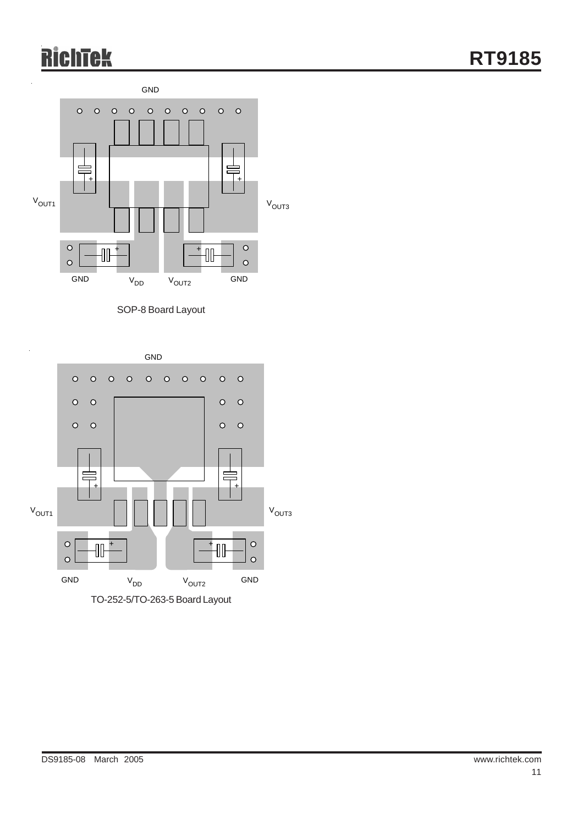# **RichTek**



SOP-8 Board Layout

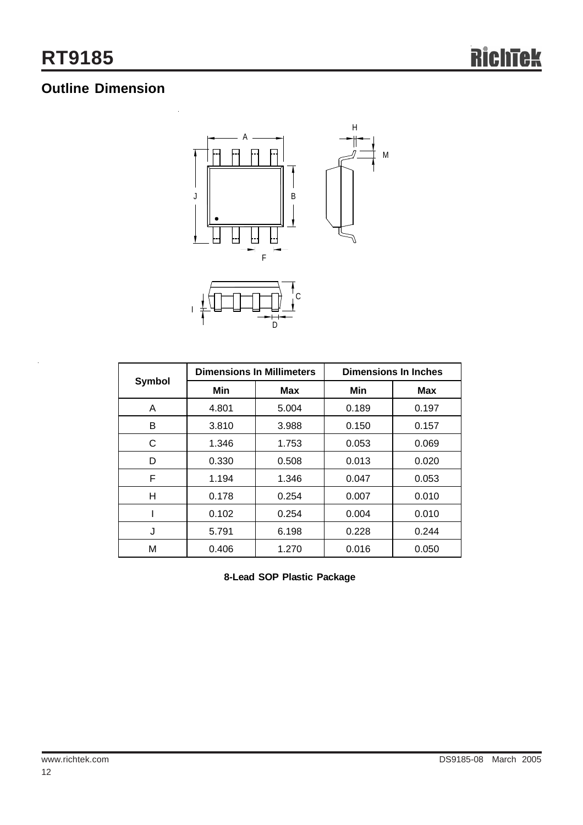l.

## **Outline Dimension**



| <b>Symbol</b> | <b>Dimensions In Millimeters</b> |            | <b>Dimensions In Inches</b> |            |  |
|---------------|----------------------------------|------------|-----------------------------|------------|--|
|               | Min                              | <b>Max</b> | Min                         | <b>Max</b> |  |
| A             | 4.801                            | 5.004      | 0.189                       | 0.197      |  |
| B             | 3.810                            | 3.988      | 0.150                       | 0.157      |  |
| C             | 1.346                            | 1.753      | 0.053                       | 0.069      |  |
| D             | 0.330                            | 0.508      | 0.013                       | 0.020      |  |
| F             | 1.194                            | 1.346      | 0.047                       | 0.053      |  |
| н             | 0.178                            | 0.254      | 0.007                       | 0.010      |  |
|               | 0.102                            | 0.254      | 0.004                       | 0.010      |  |
| J             | 5.791                            | 6.198      | 0.228                       | 0.244      |  |
| М             | 0.406                            | 1.270      | 0.016                       | 0.050      |  |

**8-Lead SOP Plastic Package**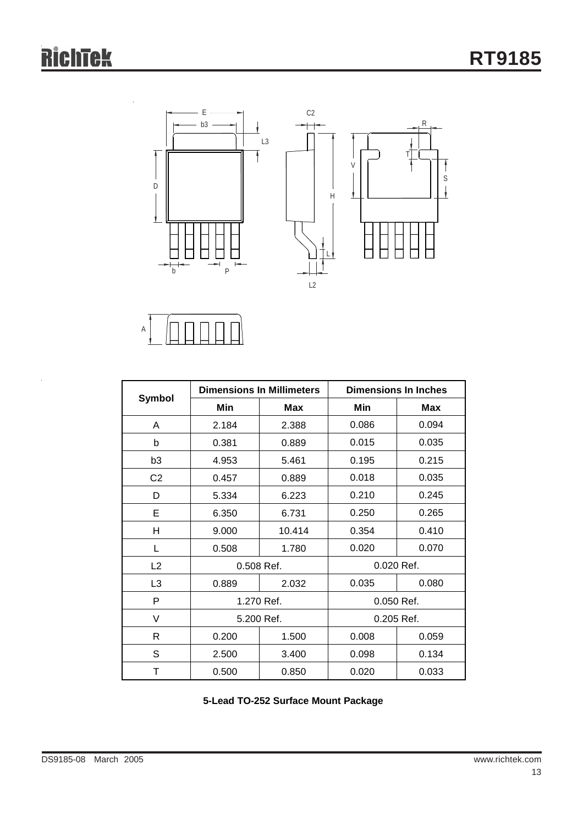

A

|                |       | <b>Dimensions In Millimeters</b> | <b>Dimensions In Inches</b> |            |  |
|----------------|-------|----------------------------------|-----------------------------|------------|--|
| Symbol         | Min   | <b>Max</b>                       | Min                         | Max        |  |
| A              | 2.184 | 2.388                            | 0.086                       | 0.094      |  |
| b              | 0.381 | 0.889                            | 0.015                       | 0.035      |  |
| b3             | 4.953 | 5.461                            | 0.195                       | 0.215      |  |
| C <sub>2</sub> | 0.457 | 0.889                            | 0.018                       | 0.035      |  |
| D              | 5.334 | 6.223                            | 0.210                       | 0.245      |  |
| E              | 6.350 | 6.731                            | 0.250                       | 0.265      |  |
| н              | 9.000 | 10.414                           | 0.354                       | 0.410      |  |
| L              | 0.508 | 1.780                            | 0.020                       | 0.070      |  |
| L2             |       | 0.508 Ref.                       | 0.020 Ref.                  |            |  |
| L <sub>3</sub> | 0.889 | 2.032                            | 0.035                       | 0.080      |  |
| P              |       | 1.270 Ref.                       |                             | 0.050 Ref. |  |
| V              |       | 5.200 Ref.                       |                             | 0.205 Ref. |  |
| R              | 0.200 | 1.500                            | 0.008                       | 0.059      |  |
| S              | 2.500 | 3.400                            | 0.098                       | 0.134      |  |
| т              | 0.500 | 0.850                            | 0.020                       | 0.033      |  |

**5-Lead TO-252 Surface Mount Package**